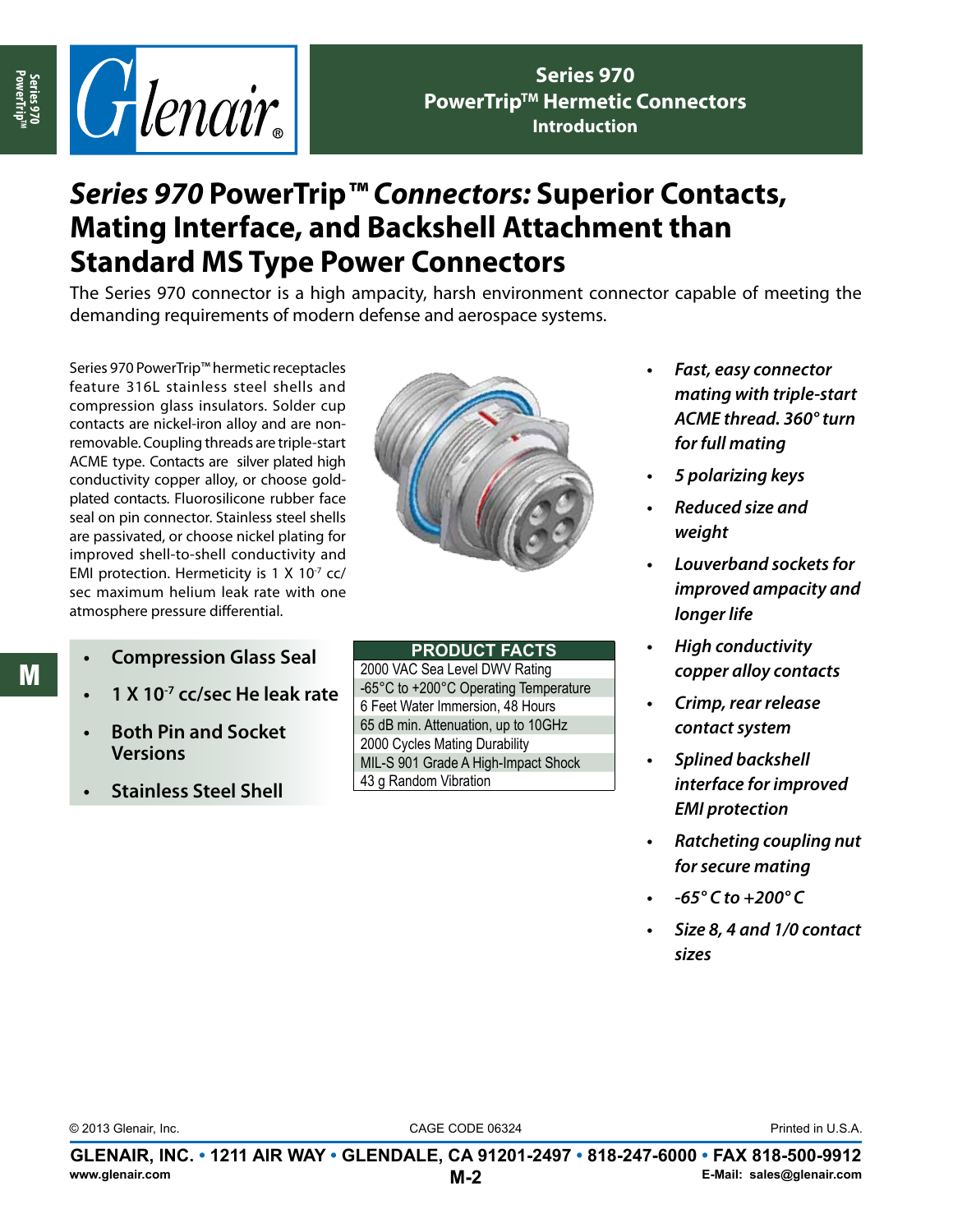

**Series 970 PowerTrip™ Hermetic Connectors Introduction**

# *Series 970* **PowerTrip***™ Connectors:* **Superior Contacts, Mating Interface, and Backshell Attachment than Standard MS Type Power Connectors**

The Series 970 connector is a high ampacity, harsh environment connector capable of meeting the demanding requirements of modern defense and aerospace systems.

Series 970 PowerTrip™ hermetic receptacles feature 316L stainless steel shells and compression glass insulators. Solder cup contacts are nickel-iron alloy and are nonremovable. Coupling threads are triple-start ACME type. Contacts are silver plated high conductivity copper alloy, or choose goldplated contacts. Fluorosilicone rubber face seal on pin connector. Stainless steel shells are passivated, or choose nickel plating for improved shell-to-shell conductivity and EMI protection. Hermeticity is  $1 \times 10^{-7}$  cc/ sec maximum helium leak rate with one atmosphere pressure differential.



M

- **Compression Glass Seal**
- **• 1 X 10-7 cc/sec He leak rate**
- **• Both Pin and Socket Versions**
- **Stainless Steel Shell**

### **product facts**

2000 VAC Sea Level DWV Rating -65°C to +200°C Operating Temperature 6 Feet Water Immersion, 48 Hours 65 dB min. Attenuation, up to 10GHz 2000 Cycles Mating Durability MIL-S 901 Grade A High-Impact Shock 43 g Random Vibration

- **Fast, easy connector** *mating with triple-start ACME thread. 360° turn for full mating*
- **•**  *5 polarizing keys*
- **•**  *Reduced size and weight*
- **•**  *Louverband sockets for improved ampacity and longer life*
- **High conductivity** *copper alloy contacts*
- **•**  *Crimp, rear release contact system*
- **•**  *Splined backshell interface for improved EMI protection*
- **•**  *Ratcheting coupling nut for secure mating*
- **•**  *-65° C to +200° C*
- **•**  *Size 8, 4 and 1/0 contact sizes*

© 2013 Glenair, Inc. CAGE CODE 06324

Printed in U.S.A.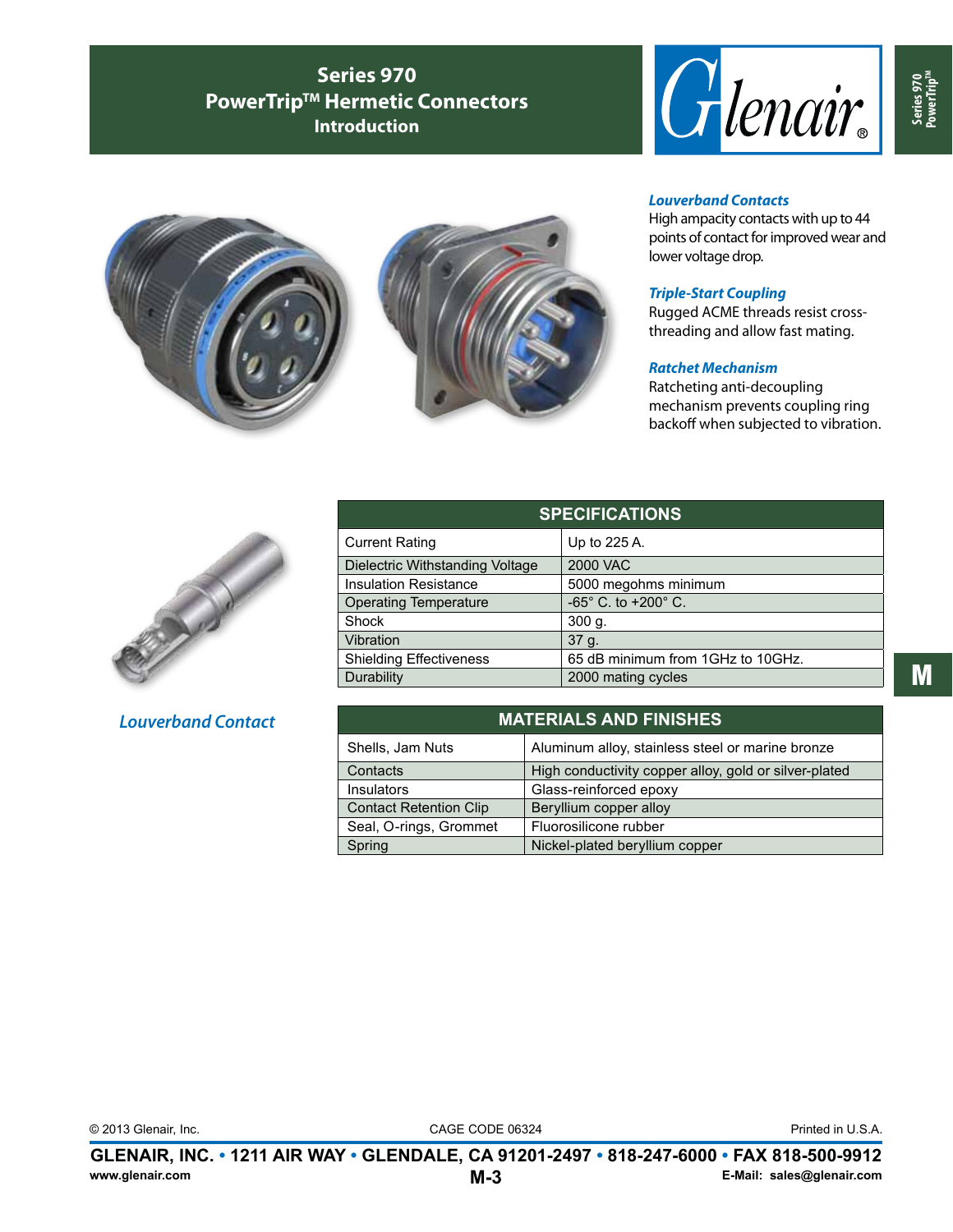## **Series 970 PowerTrip™ Hermetic Connectors Introduction**







#### *Louverband Contacts*

High ampacity contacts with up to 44 points of contact for improved wear and lower voltage drop.

#### *Triple-Start Coupling*

Rugged ACME threads resist crossthreading and allow fast mating.

#### *Ratchet Mechanism*

Ratcheting anti-decoupling mechanism prevents coupling ring backoff when subjected to vibration.



### *Louverband Contact*

| <b>SPECIFICATIONS</b>           |                                       |
|---------------------------------|---------------------------------------|
| <b>Current Rating</b>           | Up to 225 A.                          |
| Dielectric Withstanding Voltage | <b>2000 VAC</b>                       |
| <b>Insulation Resistance</b>    | 5000 megohms minimum                  |
| <b>Operating Temperature</b>    | $-65^{\circ}$ C. to $+200^{\circ}$ C. |
| Shock                           | 300 g.                                |
| Vibration                       | 37 g.                                 |
| <b>Shielding Effectiveness</b>  | 65 dB minimum from 1GHz to 10GHz.     |
| Durability                      | 2000 mating cycles                    |

| <b>MATERIALS AND FINISHES</b> |                                                       |
|-------------------------------|-------------------------------------------------------|
| Shells, Jam Nuts              | Aluminum alloy, stainless steel or marine bronze      |
| Contacts                      | High conductivity copper alloy, gold or silver-plated |
| Insulators                    | Glass-reinforced epoxy                                |
| <b>Contact Retention Clip</b> | Beryllium copper alloy                                |
| Seal, O-rings, Grommet        | Fluorosilicone rubber                                 |
| Spring                        | Nickel-plated beryllium copper                        |

M

© 2013 Glenair, Inc. CAGE CODE 06324

Printed in U.S.A.